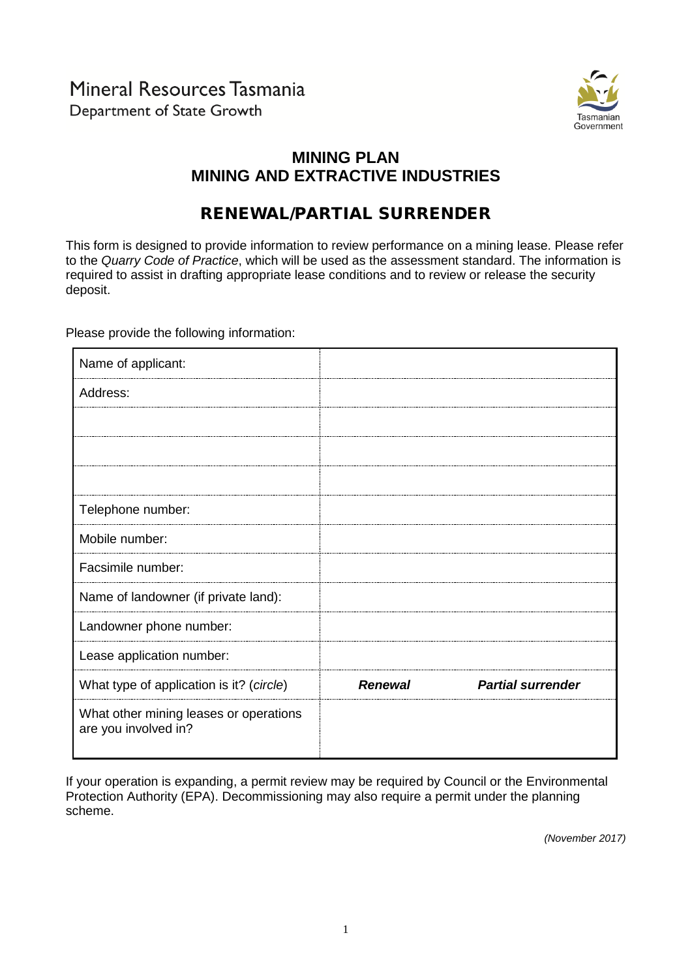

## **MINING PLAN MINING AND EXTRACTIVE INDUSTRIES**

# RENEWAL/PARTIAL SURRENDER

This form is designed to provide information to review performance on a mining lease. Please refer to the *Quarry Code of Practice*, which will be used as the assessment standard. The information is required to assist in drafting appropriate lease conditions and to review or release the security deposit.

Please provide the following information:

| Name of applicant:                                             |                |                          |
|----------------------------------------------------------------|----------------|--------------------------|
| Address:                                                       |                |                          |
|                                                                |                |                          |
|                                                                |                |                          |
|                                                                |                |                          |
| Telephone number:                                              |                |                          |
| Mobile number:                                                 |                |                          |
| Facsimile number:                                              |                |                          |
| Name of landowner (if private land):                           |                |                          |
| Landowner phone number:                                        |                |                          |
| Lease application number:                                      |                |                          |
| What type of application is it? (circle)                       | <b>Renewal</b> | <b>Partial surrender</b> |
| What other mining leases or operations<br>are you involved in? |                |                          |

If your operation is expanding, a permit review may be required by Council or the Environmental Protection Authority (EPA). Decommissioning may also require a permit under the planning scheme.

*(November 2017)*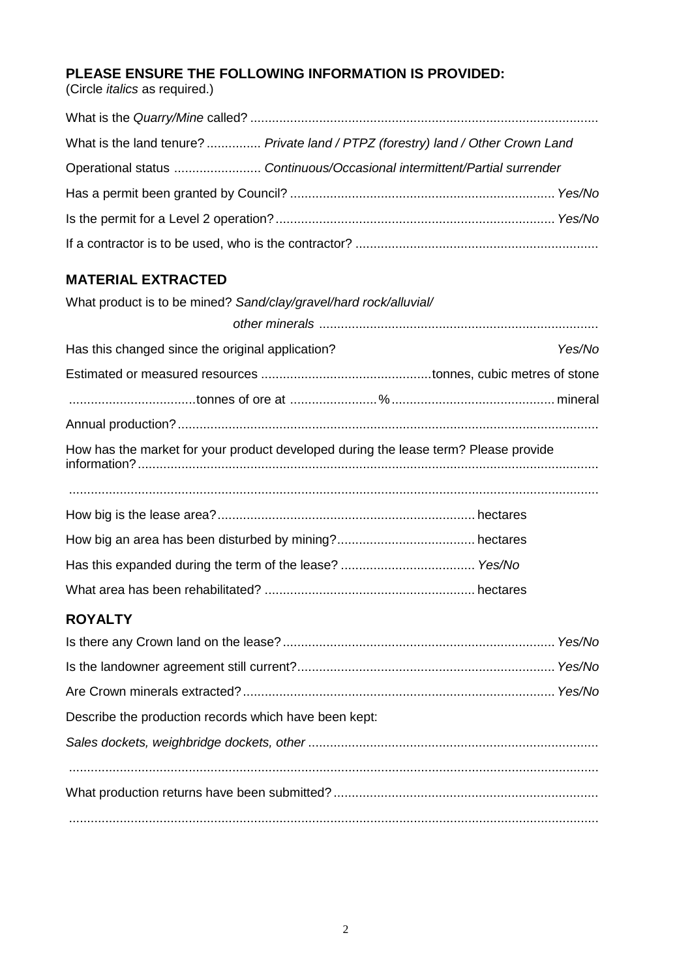## **PLEASE ENSURE THE FOLLOWING INFORMATION IS PROVIDED:**

(Circle *italics* as required.)

| What is the land tenure?  Private land / PTPZ (forestry) land / Other Crown Land |  |
|----------------------------------------------------------------------------------|--|
| Operational status  Continuous/Occasional intermittent/Partial surrender         |  |
|                                                                                  |  |
|                                                                                  |  |
|                                                                                  |  |

## **MATERIAL EXTRACTED**

| What product is to be mined? Sand/clay/gravel/hard rock/alluvial/                   |
|-------------------------------------------------------------------------------------|
|                                                                                     |
| Has this changed since the original application?<br>Yes/No                          |
|                                                                                     |
|                                                                                     |
|                                                                                     |
| How has the market for your product developed during the lease term? Please provide |
|                                                                                     |
|                                                                                     |
|                                                                                     |
|                                                                                     |
|                                                                                     |

## **ROYALTY**

| Describe the production records which have been kept: |  |
|-------------------------------------------------------|--|
|                                                       |  |
|                                                       |  |
|                                                       |  |
|                                                       |  |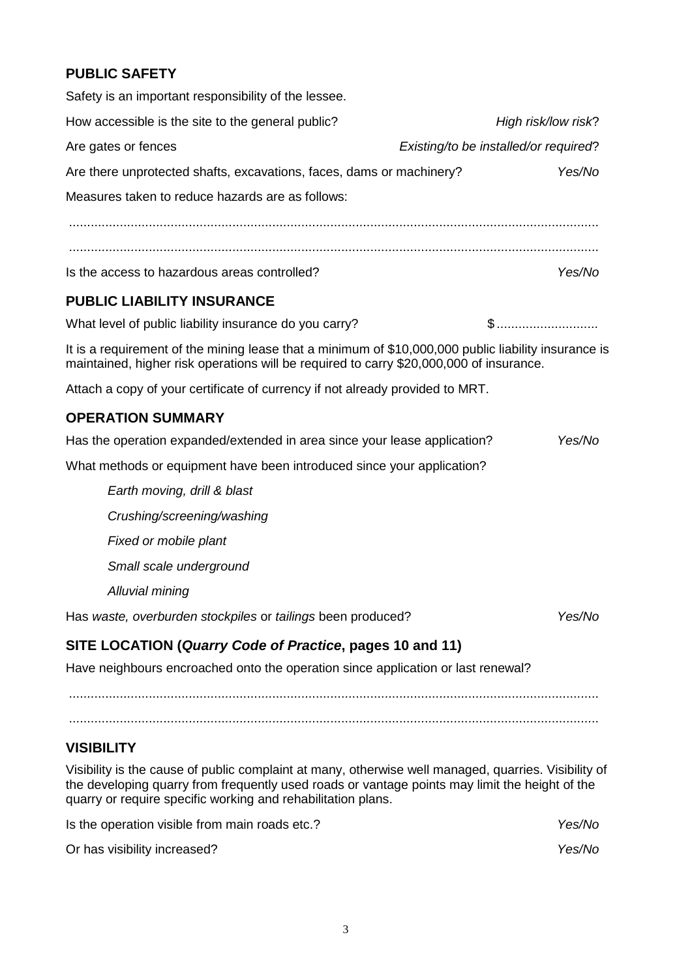## **PUBLIC SAFETY**

| Safety is an important responsibility of the lessee.                                                                                                                                                                                                                   |                                       |
|------------------------------------------------------------------------------------------------------------------------------------------------------------------------------------------------------------------------------------------------------------------------|---------------------------------------|
| How accessible is the site to the general public?                                                                                                                                                                                                                      | High risk/low risk?                   |
| Are gates or fences                                                                                                                                                                                                                                                    | Existing/to be installed/or required? |
| Are there unprotected shafts, excavations, faces, dams or machinery?                                                                                                                                                                                                   | Yes/No                                |
| Measures taken to reduce hazards are as follows:                                                                                                                                                                                                                       |                                       |
|                                                                                                                                                                                                                                                                        |                                       |
|                                                                                                                                                                                                                                                                        |                                       |
| Is the access to hazardous areas controlled?                                                                                                                                                                                                                           | Yes/No                                |
| <b>PUBLIC LIABILITY INSURANCE</b>                                                                                                                                                                                                                                      |                                       |
| What level of public liability insurance do you carry?                                                                                                                                                                                                                 | $$$                                   |
| It is a requirement of the mining lease that a minimum of \$10,000,000 public liability insurance is<br>maintained, higher risk operations will be required to carry \$20,000,000 of insurance.                                                                        |                                       |
| Attach a copy of your certificate of currency if not already provided to MRT.                                                                                                                                                                                          |                                       |
| <b>OPERATION SUMMARY</b>                                                                                                                                                                                                                                               |                                       |
| Has the operation expanded/extended in area since your lease application?                                                                                                                                                                                              | Yes/No                                |
| What methods or equipment have been introduced since your application?                                                                                                                                                                                                 |                                       |
| Earth moving, drill & blast                                                                                                                                                                                                                                            |                                       |
| Crushing/screening/washing                                                                                                                                                                                                                                             |                                       |
| Fixed or mobile plant                                                                                                                                                                                                                                                  |                                       |
| Small scale underground                                                                                                                                                                                                                                                |                                       |
| Alluvial mining                                                                                                                                                                                                                                                        |                                       |
| Has waste, overburden stockpiles or tailings been produced?                                                                                                                                                                                                            | Yes/No                                |
| SITE LOCATION (Quarry Code of Practice, pages 10 and 11)                                                                                                                                                                                                               |                                       |
| Have neighbours encroached onto the operation since application or last renewal?                                                                                                                                                                                       |                                       |
|                                                                                                                                                                                                                                                                        |                                       |
| <b>VISIBILITY</b>                                                                                                                                                                                                                                                      |                                       |
| Visibility is the cause of public complaint at many, otherwise well managed, quarries. Visibility of<br>the developing quarry from frequently used roads or vantage points may limit the height of the<br>quarry or require specific working and rehabilitation plans. |                                       |
| Is the operation visible from main roads etc.?                                                                                                                                                                                                                         | Yes/No                                |
| Or has visibility increased?                                                                                                                                                                                                                                           | Yes/No                                |
|                                                                                                                                                                                                                                                                        |                                       |
|                                                                                                                                                                                                                                                                        |                                       |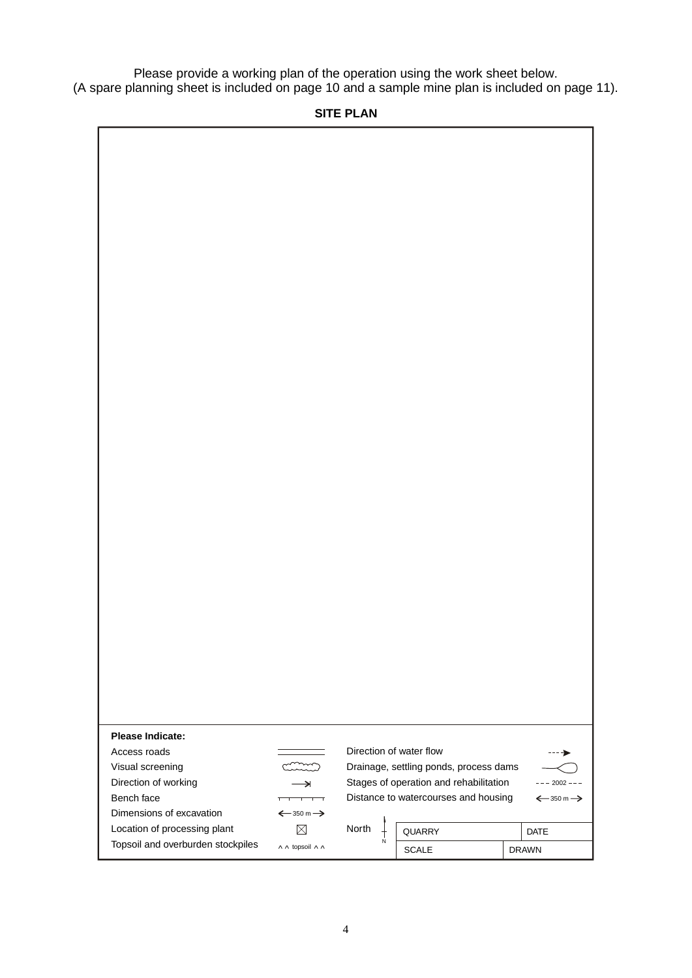Please provide a working plan of the operation using the work sheet below. (A spare planning sheet is included on page 10 and a sample mine plan is included on page 11).

### **SITE PLAN**

| Please Indicate:                  |                                       |       |                                        |                                       |
|-----------------------------------|---------------------------------------|-------|----------------------------------------|---------------------------------------|
| Access roads                      |                                       |       | Direction of water flow                |                                       |
| Visual screening                  |                                       |       | Drainage, settling ponds, process dams |                                       |
| Direction of working              | $\rightarrow$                         |       | Stages of operation and rehabilitation | $2002 - -$                            |
| Bench face                        |                                       |       | Distance to watercourses and housing   | $\xleftarrow{350}$ m $\xrightarrow{}$ |
| Dimensions of excavation          | $\xleftarrow{350}$ m $\xrightarrow{}$ |       |                                        |                                       |
| Location of processing plant      | $\times$                              | North | <b>QUARRY</b>                          | <b>DATE</b>                           |
| Topsoil and overburden stockpiles | A A topsoil A A                       | N     | <b>SCALE</b>                           | <b>DRAWN</b>                          |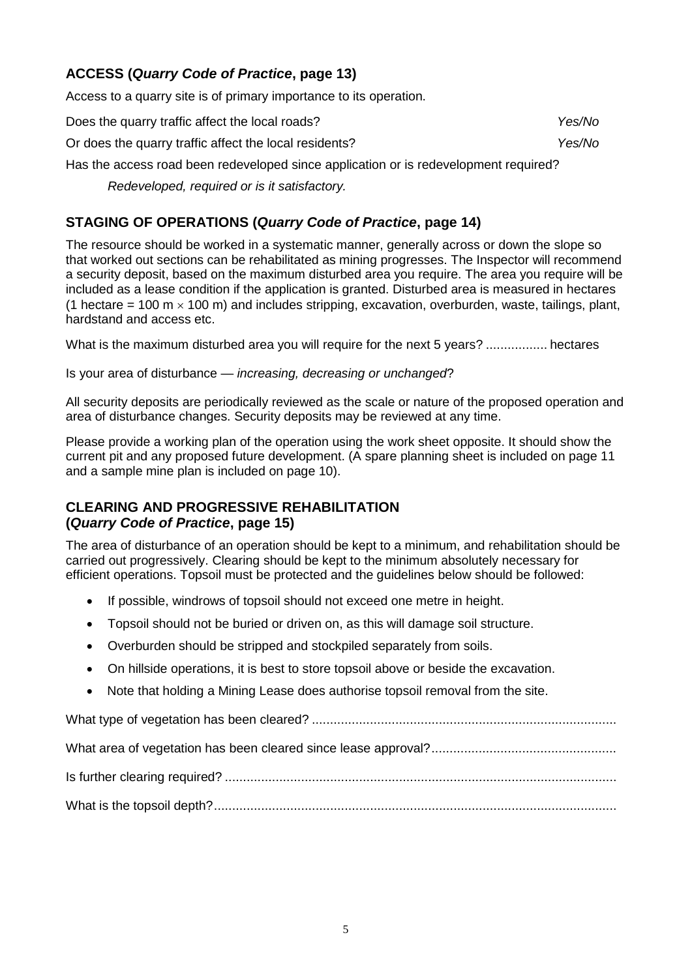### **ACCESS (***Quarry Code of Practice***, page 13)**

Access to a quarry site is of primary importance to its operation.

Does the quarry traffic affect the local roads? *Yes/No*

Or does the quarry traffic affect the local residents? *Yes/No*

Has the access road been redeveloped since application or is redevelopment required?

*Redeveloped, required or is it satisfactory.*

### **STAGING OF OPERATIONS (***Quarry Code of Practice***, page 14)**

The resource should be worked in a systematic manner, generally across or down the slope so that worked out sections can be rehabilitated as mining progresses. The Inspector will recommend a security deposit, based on the maximum disturbed area you require. The area you require will be included as a lease condition if the application is granted. Disturbed area is measured in hectares (1 hectare = 100 m  $\times$  100 m) and includes stripping, excavation, overburden, waste, tailings, plant, hardstand and access etc.

What is the maximum disturbed area you will require for the next 5 years? ................. hectares

Is your area of disturbance — *increasing, decreasing or unchanged*?

All security deposits are periodically reviewed as the scale or nature of the proposed operation and area of disturbance changes. Security deposits may be reviewed at any time.

Please provide a working plan of the operation using the work sheet opposite. It should show the current pit and any proposed future development. (A spare planning sheet is included on page 11 and a sample mine plan is included on page 10).

#### **CLEARING AND PROGRESSIVE REHABILITATION (***Quarry Code of Practice***, page 15)**

The area of disturbance of an operation should be kept to a minimum, and rehabilitation should be carried out progressively. Clearing should be kept to the minimum absolutely necessary for efficient operations. Topsoil must be protected and the guidelines below should be followed:

- If possible, windrows of topsoil should not exceed one metre in height.
- Topsoil should not be buried or driven on, as this will damage soil structure.
- Overburden should be stripped and stockpiled separately from soils.
- On hillside operations, it is best to store topsoil above or beside the excavation.
- Note that holding a Mining Lease does authorise topsoil removal from the site.

What type of vegetation has been cleared? .................................................................................... What area of vegetation has been cleared since lease approval?................................................... Is further clearing required? ............................................................................................................ What is the topsoil depth?...............................................................................................................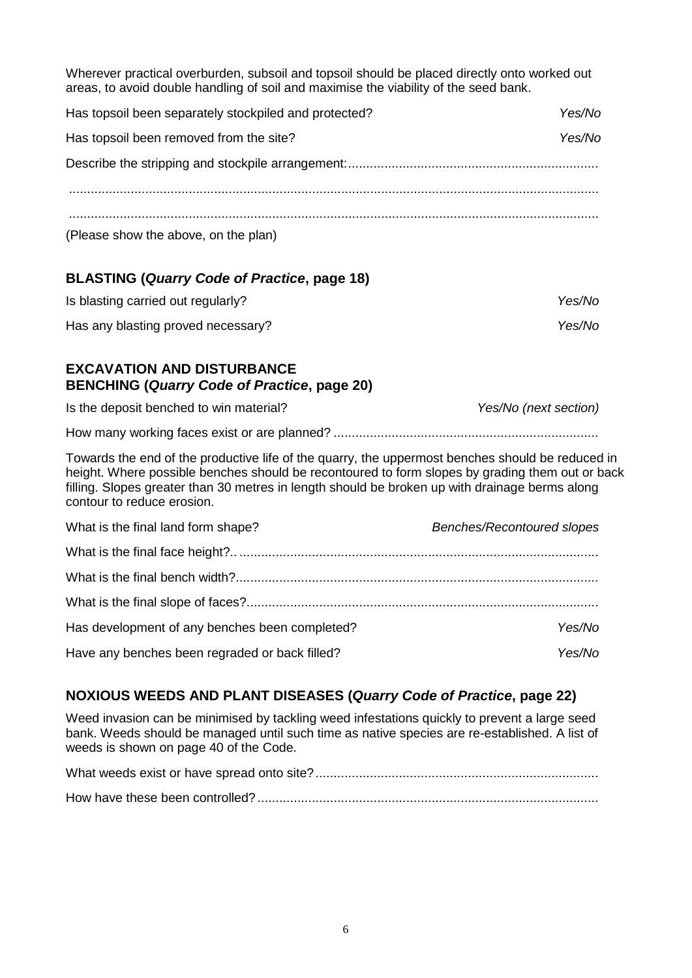Wherever practical overburden, subsoil and topsoil should be placed directly onto worked out areas, to avoid double handling of soil and maximise the viability of the seed bank.

| Has topsoil been separately stockpiled and protected? | Yes/No |
|-------------------------------------------------------|--------|
| Has topsoil been removed from the site?               | Yes/No |
|                                                       |        |
|                                                       |        |
| (Please show the above, on the plan)                  |        |

### **BLASTING (***Quarry Code of Practice***, page 18)**

| Is blasting carried out regularly? | Yes/No |
|------------------------------------|--------|
| Has any blasting proved necessary? | Yes/No |

#### **EXCAVATION AND DISTURBANCE BENCHING (***Quarry Code of Practice***, page 20)**

| Is the deposit benched to win material? | Yes/No (next section) |
|-----------------------------------------|-----------------------|
|                                         |                       |

How many working faces exist or are planned? .........................................................................

Towards the end of the productive life of the quarry, the uppermost benches should be reduced in height. Where possible benches should be recontoured to form slopes by grading them out or back filling. Slopes greater than 30 metres in length should be broken up with drainage berms along contour to reduce erosion.

| What is the final land form shape?             | Benches/Recontoured slopes |
|------------------------------------------------|----------------------------|
|                                                |                            |
|                                                |                            |
|                                                |                            |
| Has development of any benches been completed? | Yes/No                     |
| Have any benches been regraded or back filled? | Yes/No                     |

### **NOXIOUS WEEDS AND PLANT DISEASES (***Quarry Code of Practice***, page 22)**

Weed invasion can be minimised by tackling weed infestations quickly to prevent a large seed bank. Weeds should be managed until such time as native species are re-established. A list of weeds is shown on page 40 of the Code.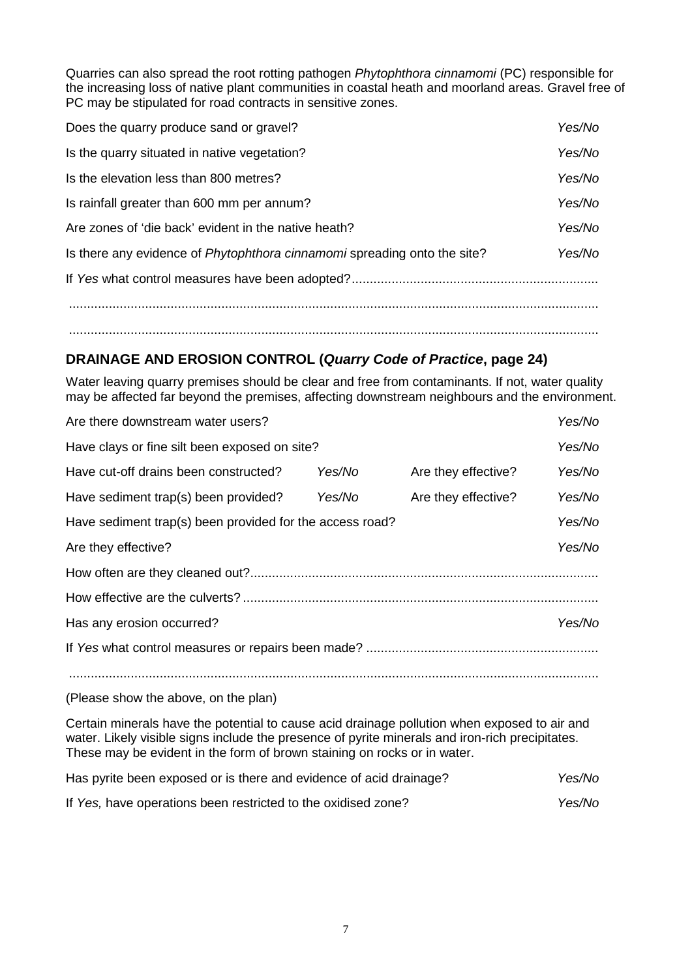Quarries can also spread the root rotting pathogen *Phytophthora cinnamomi* (PC) responsible for the increasing loss of native plant communities in coastal heath and moorland areas. Gravel free of PC may be stipulated for road contracts in sensitive zones.

| Does the quarry produce sand or gravel?                                         | Yes/No |
|---------------------------------------------------------------------------------|--------|
| Is the quarry situated in native vegetation?                                    | Yes/No |
| Is the elevation less than 800 metres?                                          | Yes/No |
| Is rainfall greater than 600 mm per annum?                                      | Yes/No |
| Are zones of 'die back' evident in the native heath?                            | Yes/No |
| Is there any evidence of <i>Phytophthora cinnamomi</i> spreading onto the site? | Yes/No |
|                                                                                 |        |
|                                                                                 |        |
|                                                                                 |        |

### **DRAINAGE AND EROSION CONTROL (***Quarry Code of Practice***, page 24)**

Water leaving quarry premises should be clear and free from contaminants. If not, water quality may be affected far beyond the premises, affecting downstream neighbours and the environment.

|        |                                                                                                           | Yes/No |
|--------|-----------------------------------------------------------------------------------------------------------|--------|
|        |                                                                                                           | Yes/No |
| Yes/No | Are they effective?                                                                                       | Yes/No |
| Yes/No | Are they effective?                                                                                       | Yes/No |
|        |                                                                                                           | Yes/No |
|        |                                                                                                           | Yes/No |
|        |                                                                                                           |        |
|        |                                                                                                           |        |
|        |                                                                                                           | Yes/No |
|        |                                                                                                           |        |
|        |                                                                                                           |        |
|        | Have clays or fine silt been exposed on site?<br>Have sediment trap(s) been provided for the access road? |        |

(Please show the above, on the plan)

Certain minerals have the potential to cause acid drainage pollution when exposed to air and water. Likely visible signs include the presence of pyrite minerals and iron-rich precipitates. These may be evident in the form of brown staining on rocks or in water.

| Has pyrite been exposed or is there and evidence of acid drainage? | Yes/No |
|--------------------------------------------------------------------|--------|
| If Yes, have operations been restricted to the oxidised zone?      | Yes/No |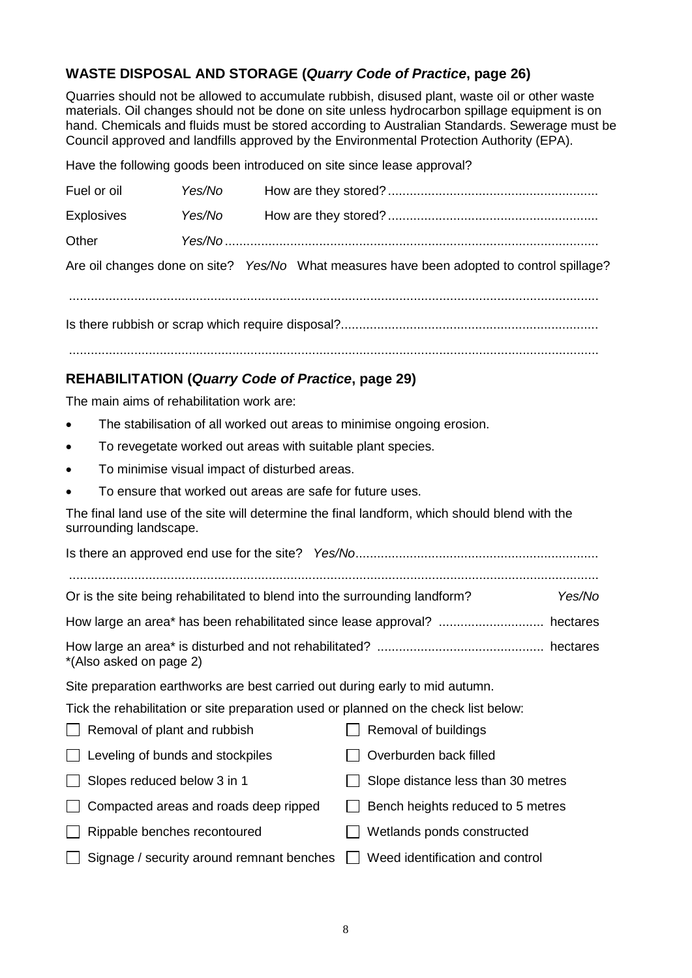### **WASTE DISPOSAL AND STORAGE (***Quarry Code of Practice***, page 26)**

Quarries should not be allowed to accumulate rubbish, disused plant, waste oil or other waste materials. Oil changes should not be done on site unless hydrocarbon spillage equipment is on hand. Chemicals and fluids must be stored according to Australian Standards. Sewerage must be Council approved and landfills approved by the Environmental Protection Authority (EPA).

Have the following goods been introduced on site since lease approval?

| Fuel or oil       | Yes/No |                                                                                           |
|-------------------|--------|-------------------------------------------------------------------------------------------|
| <b>Explosives</b> | Yes/No |                                                                                           |
| Other             |        |                                                                                           |
|                   |        | Are oil changes done on site? Yes/No What measures have been adopted to control spillage? |

..................................................................................................................................................

Is there rubbish or scrap which require disposal?.......................................................................

..................................................................................................................................................

### **REHABILITATION (***Quarry Code of Practice***, page 29)**

The main aims of rehabilitation work are:

- The stabilisation of all worked out areas to minimise ongoing erosion.
- To revegetate worked out areas with suitable plant species.
- To minimise visual impact of disturbed areas.
- To ensure that worked out areas are safe for future uses.

The final land use of the site will determine the final landform, which should blend with the surrounding landscape.

| Or is the site being rehabilitated to blend into the surrounding landform?           | Yes/No                             |
|--------------------------------------------------------------------------------------|------------------------------------|
|                                                                                      | hectares                           |
| *(Also asked on page 2)                                                              |                                    |
| Site preparation earthworks are best carried out during early to mid autumn.         |                                    |
| Tick the rehabilitation or site preparation used or planned on the check list below: |                                    |
| Removal of plant and rubbish                                                         | Removal of buildings               |
| Leveling of bunds and stockpiles                                                     | Overburden back filled             |
| Slopes reduced below 3 in 1                                                          | Slope distance less than 30 metres |
| Compacted areas and roads deep ripped                                                | Bench heights reduced to 5 metres  |
| Rippable benches recontoured                                                         | Wetlands ponds constructed         |
| Signage / security around remnant benches                                            | Weed identification and control    |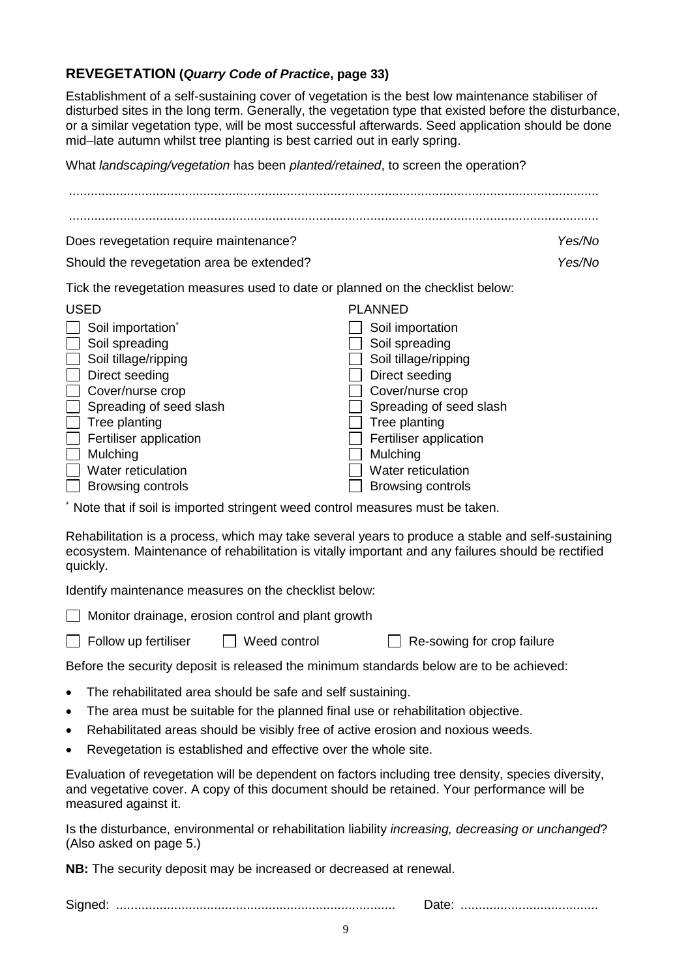#### **REVEGETATION (***Quarry Code of Practice***, page 33)**

Establishment of a self-sustaining cover of vegetation is the best low maintenance stabiliser of disturbed sites in the long term. Generally, the vegetation type that existed before the disturbance, or a similar vegetation type, will be most successful afterwards. Seed application should be done mid–late autumn whilst tree planting is best carried out in early spring.

What *landscaping/vegetation* has been *planted/retained*, to screen the operation?

| Does revegetation require maintenance?                                                                                                                                                                                                                                                                                                             | Yes/No                                                                                                                                                                                                                                                 |
|----------------------------------------------------------------------------------------------------------------------------------------------------------------------------------------------------------------------------------------------------------------------------------------------------------------------------------------------------|--------------------------------------------------------------------------------------------------------------------------------------------------------------------------------------------------------------------------------------------------------|
| Should the revegetation area be extended?                                                                                                                                                                                                                                                                                                          | Yes/No                                                                                                                                                                                                                                                 |
| Tick the revegetation measures used to date or planned on the checklist below:                                                                                                                                                                                                                                                                     |                                                                                                                                                                                                                                                        |
| <b>USED</b><br>Soil importation <sup>*</sup><br>Soil spreading<br>Soil tillage/ripping<br>Direct seeding<br>Cover/nurse crop<br>Spreading of seed slash<br>Tree planting<br>Fertiliser application<br>Mulching<br>Water reticulation<br><b>Browsing controls</b><br>* Note that if soil is imported stringent weed control measures must be taken. | <b>PLANNED</b><br>Soil importation<br>Soil spreading<br>Soil tillage/ripping<br>Direct seeding<br>Cover/nurse crop<br>Spreading of seed slash<br>Tree planting<br>Fertiliser application<br>Mulching<br>Water reticulation<br><b>Browsing controls</b> |
| Rehabilitation is a process, which may take several years to produce a stable and self-sustaining<br>ecosystem. Maintenance of rehabilitation is vitally important and any failures should be rectified<br>quickly.                                                                                                                                |                                                                                                                                                                                                                                                        |
| Identify maintenance measures on the checklist below:                                                                                                                                                                                                                                                                                              |                                                                                                                                                                                                                                                        |
| Monitor drainage, erosion control and plant growth                                                                                                                                                                                                                                                                                                 |                                                                                                                                                                                                                                                        |
| Weed control<br>Follow up fertiliser                                                                                                                                                                                                                                                                                                               | Re-sowing for crop failure                                                                                                                                                                                                                             |
| Before the security deposit is released the minimum standards below are to be achieved:                                                                                                                                                                                                                                                            |                                                                                                                                                                                                                                                        |
| The rehabilitated area should be safe and self sustaining.<br>The area must be suitable for the planned final use or rehabilitation objective.<br>٠<br>Rehabilitated areas should be visibly free of active erosion and noxious weeds.<br>٠<br>Revegetation is established and effective over the whole site.                                      |                                                                                                                                                                                                                                                        |
| Evaluation of revegetation will be dependent on factors including tree density, species diversity,<br>and vegetative cover. A copy of this document should be retained. Your performance will be                                                                                                                                                   |                                                                                                                                                                                                                                                        |

Is the disturbance, environmental or rehabilitation liability *increasing, decreasing or unchanged*? (Also asked on page 5.)

**NB:** The security deposit may be increased or decreased at renewal.

measured against it.

Signed: ............................................................................. Date: ......................................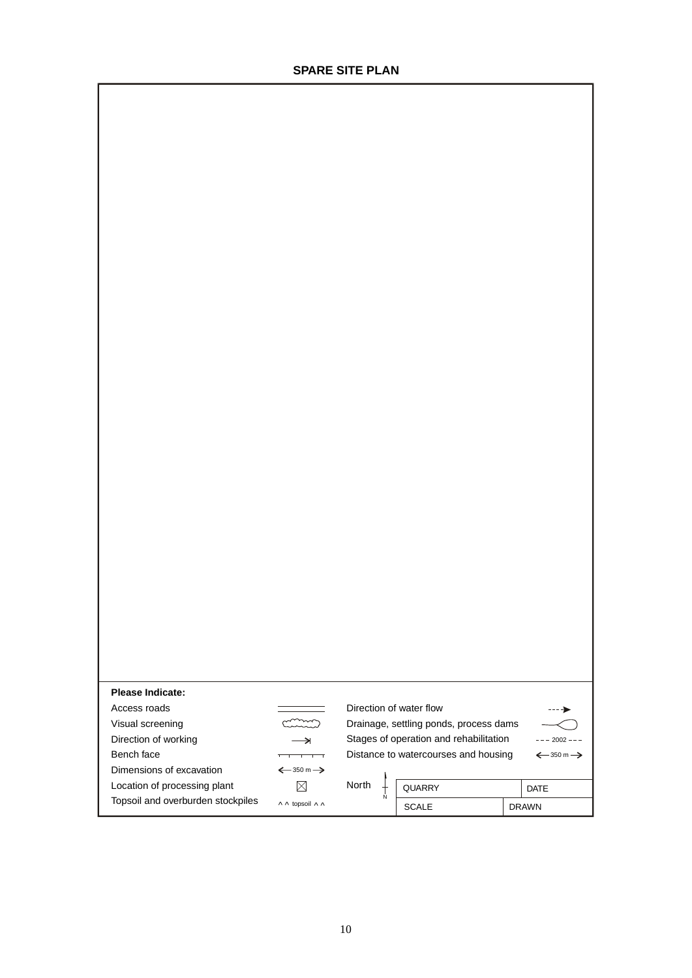| <b>Please Indicate:</b>      |                                       |       |                                        |                                       |
|------------------------------|---------------------------------------|-------|----------------------------------------|---------------------------------------|
| Access roads                 |                                       |       | Direction of water flow                |                                       |
| Visual screening             |                                       |       | Drainage, settling ponds, process dams |                                       |
|                              | →                                     |       |                                        |                                       |
| Direction of working         |                                       |       | Stages of operation and rehabilitation | $--- 2002 ---$                        |
| Bench face                   |                                       |       | Distance to watercourses and housing   | $\xleftarrow{350}$ m $\xrightarrow{}$ |
| Dimensions of excavation     | $\xleftarrow{350}$ m $\xrightarrow{}$ |       |                                        |                                       |
| Location of processing plant | X                                     | North | <b>QUARRY</b>                          | <b>DATE</b>                           |